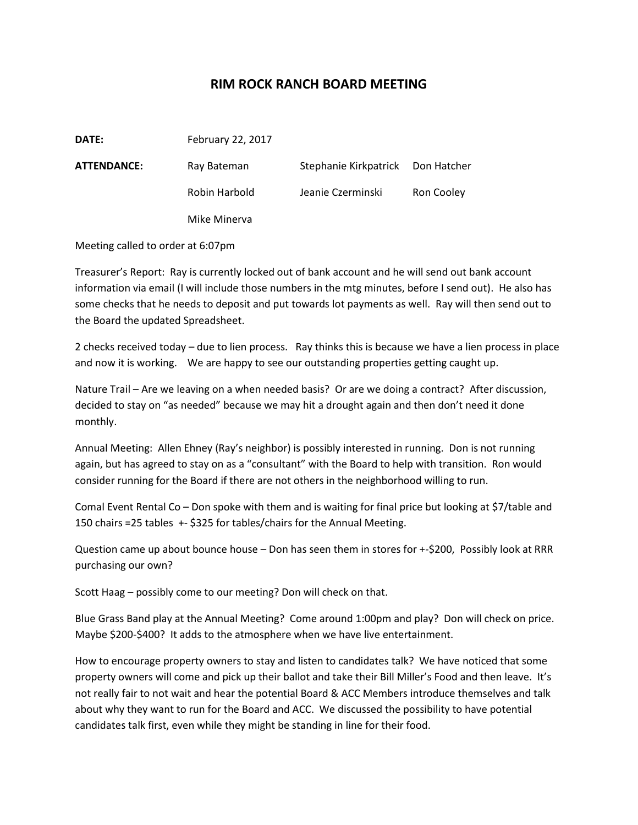## **RIM ROCK RANCH BOARD MEETING**

| DATE:       | February 22, 2017 |                                   |            |
|-------------|-------------------|-----------------------------------|------------|
| ATTENDANCE: | Ray Bateman       | Stephanie Kirkpatrick Don Hatcher |            |
|             | Robin Harbold     | Jeanie Czerminski                 | Ron Cooley |
|             | Mike Minerva      |                                   |            |

Meeting called to order at 6:07pm

Treasurer's Report: Ray is currently locked out of bank account and he will send out bank account information via email (I will include those numbers in the mtg minutes, before I send out). He also has some checks that he needs to deposit and put towards lot payments as well. Ray will then send out to the Board the updated Spreadsheet.

2 checks received today – due to lien process. Ray thinks this is because we have a lien process in place and now it is working. We are happy to see our outstanding properties getting caught up.

Nature Trail – Are we leaving on a when needed basis? Or are we doing a contract? After discussion, decided to stay on "as needed" because we may hit a drought again and then don't need it done monthly.

Annual Meeting: Allen Ehney (Ray's neighbor) is possibly interested in running. Don is not running again, but has agreed to stay on as a "consultant" with the Board to help with transition. Ron would consider running for the Board if there are not others in the neighborhood willing to run.

Comal Event Rental Co – Don spoke with them and is waiting for final price but looking at \$7/table and 150 chairs =25 tables +- \$325 for tables/chairs for the Annual Meeting.

Question came up about bounce house – Don has seen them in stores for +-\$200, Possibly look at RRR purchasing our own?

Scott Haag – possibly come to our meeting? Don will check on that.

Blue Grass Band play at the Annual Meeting? Come around 1:00pm and play? Don will check on price. Maybe \$200-\$400? It adds to the atmosphere when we have live entertainment.

How to encourage property owners to stay and listen to candidates talk? We have noticed that some property owners will come and pick up their ballot and take their Bill Miller's Food and then leave. It's not really fair to not wait and hear the potential Board & ACC Members introduce themselves and talk about why they want to run for the Board and ACC. We discussed the possibility to have potential candidates talk first, even while they might be standing in line for their food.